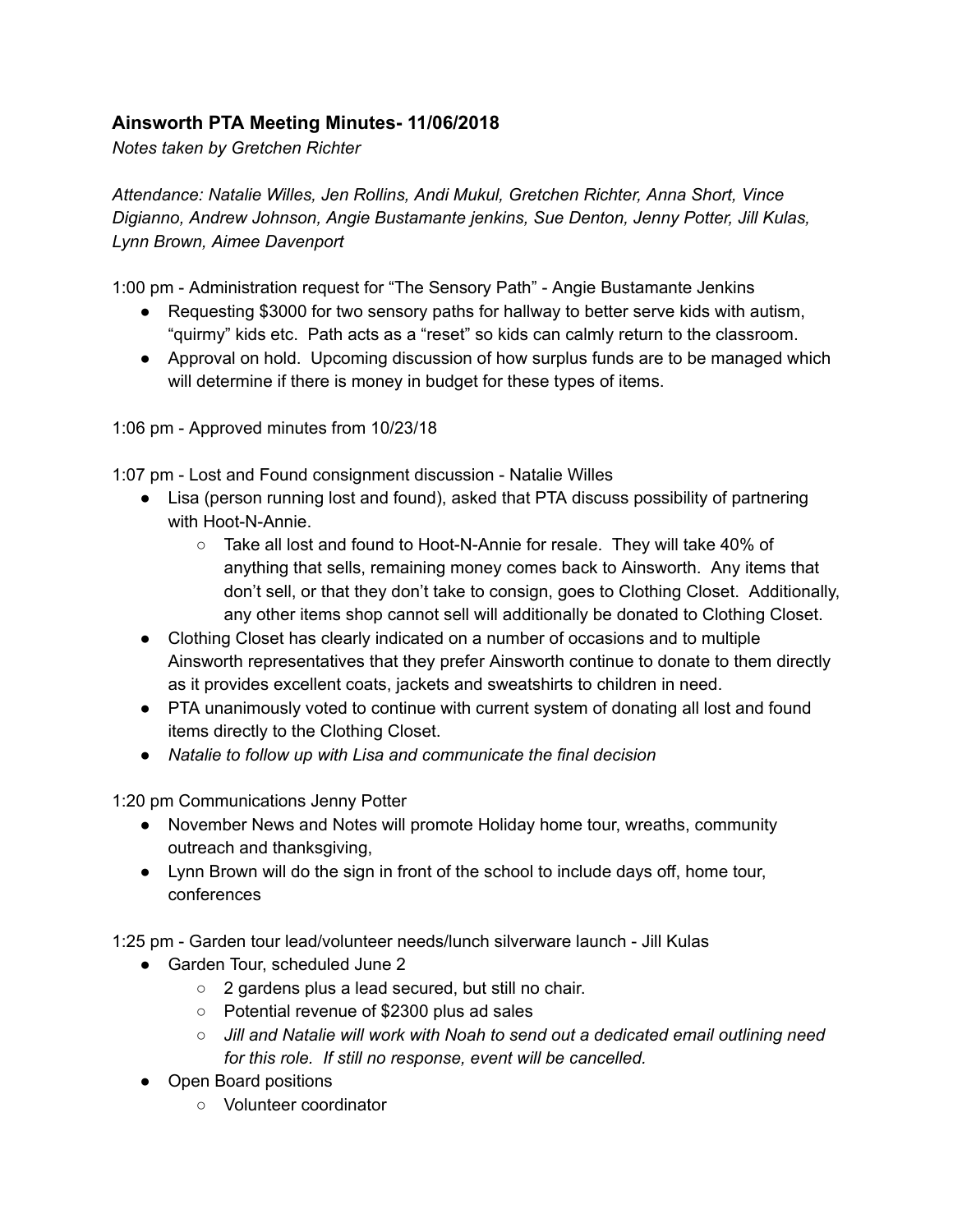## **Ainsworth PTA Meeting Minutes- 11/06/2018**

*Notes taken by Gretchen Richter*

*Attendance: Natalie Willes, Jen Rollins, Andi Mukul, Gretchen Richter, Anna Short, Vince Digianno, Andrew Johnson, Angie Bustamante jenkins, Sue Denton, Jenny Potter, Jill Kulas, Lynn Brown, Aimee Davenport*

1:00 pm - Administration request for "The Sensory Path" - Angie Bustamante Jenkins

- Requesting \$3000 for two sensory paths for hallway to better serve kids with autism, "quirmy" kids etc. Path acts as a "reset" so kids can calmly return to the classroom.
- Approval on hold. Upcoming discussion of how surplus funds are to be managed which will determine if there is money in budget for these types of items.

1:06 pm - Approved minutes from 10/23/18

1:07 pm - Lost and Found consignment discussion - Natalie Willes

- Lisa (person running lost and found), asked that PTA discuss possibility of partnering with Hoot-N-Annie.
	- Take all lost and found to Hoot-N-Annie for resale. They will take 40% of anything that sells, remaining money comes back to Ainsworth. Any items that don't sell, or that they don't take to consign, goes to Clothing Closet. Additionally, any other items shop cannot sell will additionally be donated to Clothing Closet.
- Clothing Closet has clearly indicated on a number of occasions and to multiple Ainsworth representatives that they prefer Ainsworth continue to donate to them directly as it provides excellent coats, jackets and sweatshirts to children in need.
- PTA unanimously voted to continue with current system of donating all lost and found items directly to the Clothing Closet.
- *● Natalie to follow up with Lisa and communicate the final decision*

1:20 pm Communications Jenny Potter

- November News and Notes will promote Holiday home tour, wreaths, community outreach and thanksgiving,
- Lynn Brown will do the sign in front of the school to include days off, home tour, conferences

1:25 pm - Garden tour lead/volunteer needs/lunch silverware launch - Jill Kulas

- Garden Tour, scheduled June 2
	- 2 gardens plus a lead secured, but still no chair.
	- Potential revenue of \$2300 plus ad sales
	- *○ Jill and Natalie will work with Noah to send out a dedicated email outlining need for this role. If still no response, event will be cancelled.*
- Open Board positions
	- Volunteer coordinator